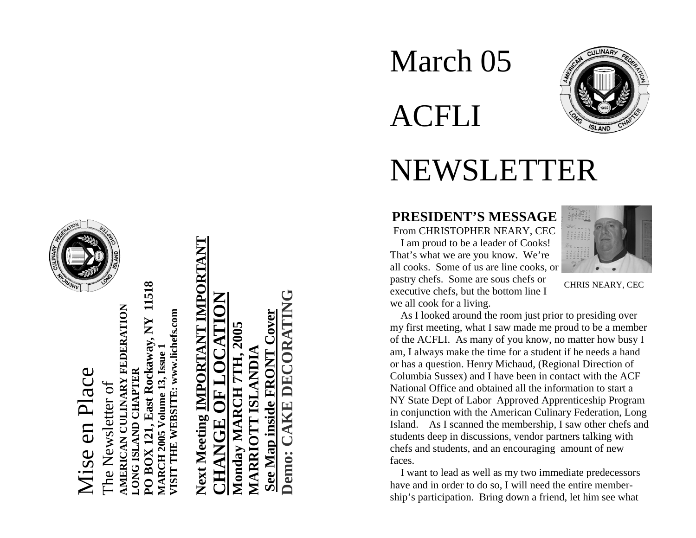# Mise en Place Mise en Place



**PO BOX 121, East Rockaway, NY 11518**  11518 **AMERICAN CULINARY FEDERATION**  MERICAN CULINARY FEDERATION **/ISIT THE WEBSITE: www.lichefs.com VISIT THE WEBSITE: www.lichefs.com** Rockaway, NY **MARCH 2005 Volume 13, Issue 1**  olume 13, Issue **LONG ISLAND CHAPTER**  D CHAPTER The Newsletter of The Newsletter of  $\mathbf{1}$ ast l **MARCH 2005 ISI DNO NORO** 

# **Next Meeting IMPORTANT IMPORTANT** Next Meeting IMPORTANT IMPORTANT **CHANGE OF LOCATION** ATTOM  $\Xi$ CHANGE

**Demo: CAKE DECORATING See Map inside FRONT Cover Monday MARCH 7TH, 2005**  B **MARRIOTT ISLANDIA NDI4 Monday MARCH** 5 See Map inside **MARRIOT** Demo:

# March 05 ACFLI



# NEWSLETTER

#### **PRESIDENT'S MESSAGE**  From CHRISTOPHER NEARY, CEC

 I am proud to be a leader of Cooks! That's what we are you know. We're all cooks. Some of us are line cooks, or pastry chefs. Some are sous chefs or executive chefs, but the bottom line I we all cook for a living.



CHRIS NEARY, CEC

 As I looked around the room just prior to presiding over my first meeting, what I saw made me proud to be a member of the ACFLI. As many of you know, no matter how busy I am, I always make the time for a student if he needs a hand or has a question. Henry Michaud, (Regional Direction of Columbia Sussex) and I have been in contact with the ACF National Office and obtained all the information to start a NY State Dept of Labor Approved Apprenticeship Program in conjunction with the American Culinary Federation, Long Island. As I scanned the membership, I saw other chefs and students deep in discussions, vendor partners talking with chefs and students, and an encouraging amount of new faces.

 I want to lead as well as my two immediate predecessors have and in order to do so, I will need the entire membership's participation. Bring down a friend, let him see what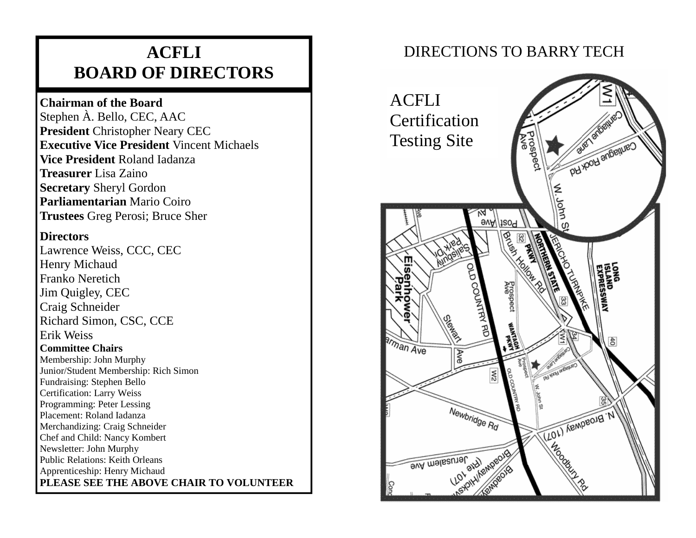## **ACFLI BOARD OF DIRECTORS**

#### **Chairman of the Board**

Stephen À. Bello, CEC, AAC **President** Christopher Neary CEC **Executive Vice President** Vincent Michaels**Vice President** Roland Iadanza**Treasurer** Lisa Zaino**Secretary** Sheryl Gordon **Parliamentarian** Mario Coiro**Trustees** Greg Perosi; Bruce Sher

#### **Directors**

Lawrence Weiss, CCC, CEC Henry Michaud Franko Neretich Jim Quigley, CEC Craig Schneider Richard Simon, CSC, CCE Erik Weiss **Committee Chairs** Membership: John Murphy Junior/Student Membership: Rich Simon Fundraising: Stephen Bello Certification: Larry Weiss Programming: Peter Lessing Placement: Roland Iadanza Merchandizing: Craig Schneider Chef and Child: Nancy Kombert Newsletter: John Murphy Public Relations: Keith Orleans Apprenticeship: Henry Michaud **PLEASE SEE THE ABOVE CHAIR TO VOLUNTEER** 

### DIRECTIONS TO BARRY TECH

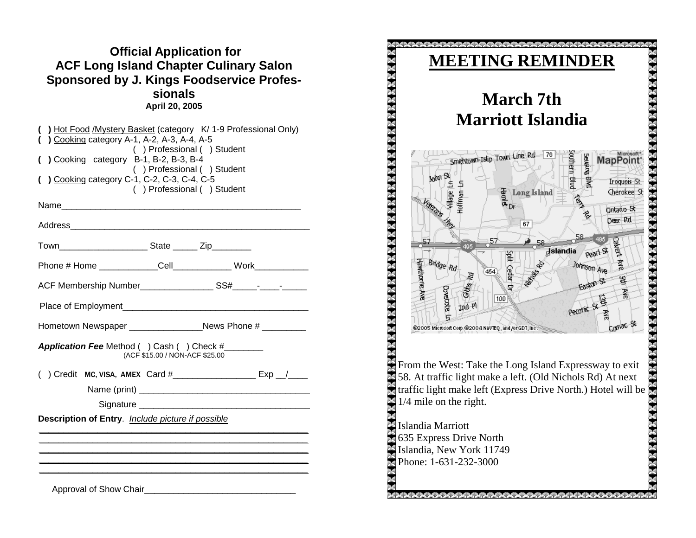| <b>Official Application for</b>               |  |
|-----------------------------------------------|--|
| <b>ACF Long Island Chapter Culinary Salon</b> |  |
| Sponsored by J. Kings Foodservice Profes-     |  |
| sionals                                       |  |
| April 20, 2005                                |  |

| ) Cooking category A-1, A-2, A-3, A-4, A-5<br>Cooking category B-1, B-2, B-3, B-4<br>) Cooking category C-1, C-2, C-3, C-4, C-5 | ) Hot Food / Mystery Basket (category K/ 1-9 Professional Only)<br>() Professional () Student<br>() Professional () Student<br>() Professional () Student |
|---------------------------------------------------------------------------------------------------------------------------------|-----------------------------------------------------------------------------------------------------------------------------------------------------------|
|                                                                                                                                 |                                                                                                                                                           |
|                                                                                                                                 |                                                                                                                                                           |
|                                                                                                                                 |                                                                                                                                                           |
|                                                                                                                                 | Phone # Home _____________Cell_______________ Work____________                                                                                            |
|                                                                                                                                 |                                                                                                                                                           |
|                                                                                                                                 |                                                                                                                                                           |
|                                                                                                                                 |                                                                                                                                                           |
| Application Fee Method () Cash () Check #______                                                                                 | (ACF \$15.00 / NON-ACF \$25.00                                                                                                                            |
| (                                                                                                                               | ) Credit MC, VISA, AMEX Card #_____________________ Exp _/____                                                                                            |
|                                                                                                                                 |                                                                                                                                                           |
|                                                                                                                                 |                                                                                                                                                           |
| Description of Entry. Include picture if possible                                                                               |                                                                                                                                                           |
|                                                                                                                                 |                                                                                                                                                           |
|                                                                                                                                 |                                                                                                                                                           |
|                                                                                                                                 |                                                                                                                                                           |
| Approval of Show Chair                                                                                                          |                                                                                                                                                           |

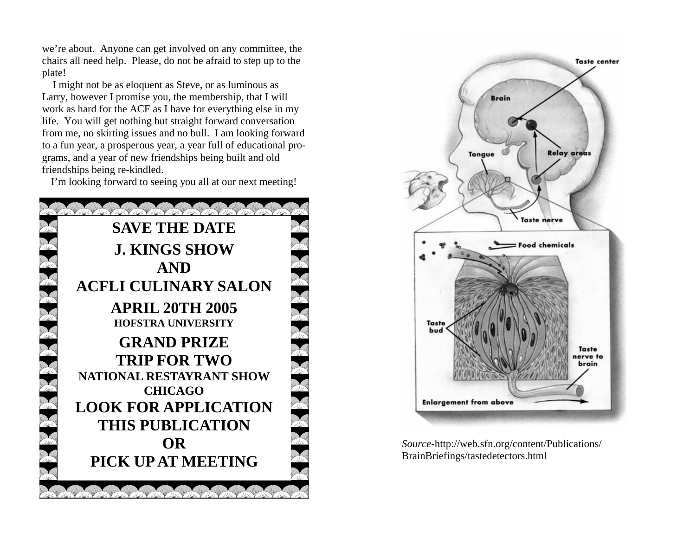we're about. Anyone can get involved on any committee, the chairs all need help. Please, do not be afraid to step up to the plate!

 I might not be as eloquent as Steve, or as luminous as Larry, however I promise you, the membership, that I will work as hard for the ACF as I have for everything else in my life. You will get nothing but straight forward conversation from me, no skirting issues and no bull. I am looking forward to a fun year, a prosperous year, a year full of educational programs, and a year of new friendships being built and old friendships being re-kindled.

I'm looking forward to seeing you all at our next meeting!





*Source*-http://web.sfn.org/content/Publications/ BrainBriefings/tastedetectors.html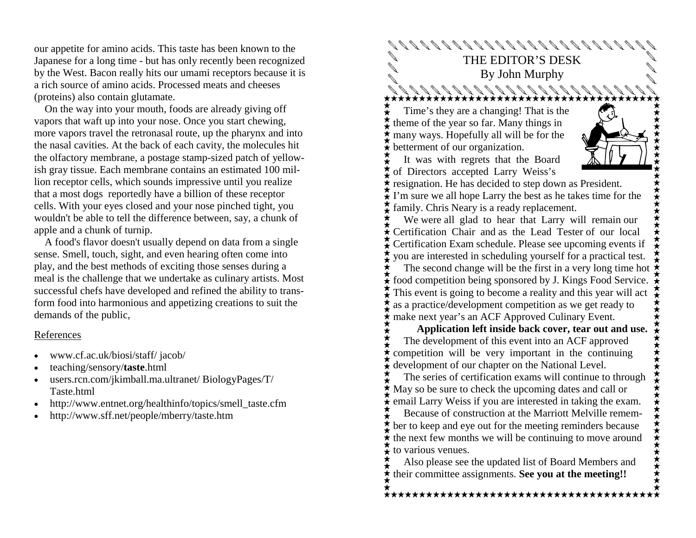our appetite for amino acids. This taste has been known to the Japanese for a long time - but has only recently been recognized by the West. Bacon really hits our umami receptors because it is a rich source of amino acids. Processed meats and cheeses (proteins) also contain glutamate.

 On the way into your mouth, foods are already giving off vapors that waft up into your nose. Once you start chewing, more vapors travel the retronasal route, up the pharynx and into the nasal cavities. At the back of each cavity, the molecules hit the olfactory membrane, a postage stamp-sized patch of yellowish gray tissue. Each membrane contains an estimated 100 million receptor cells, which sounds impressive until you realize that a most dogs reportedly have a billion of these receptor cells. With your eyes closed and your nose pinched tight, you wouldn't be able to tell the difference between, say, a chunk of apple and a chunk of turnip.

 A food's flavor doesn't usually depend on data from a single sense. Smell, touch, sight, and even hearing often come into play, and the best methods of exciting those senses during a meal is the challenge that we undertake as culinary artists. Most successful chefs have developed and refined the ability to transform food into harmonious and appetizing creations to suit the demands of the public,

#### References

- www.cf.ac.uk/biosi/staff/ jacob/
- teaching/sensory/**taste**.html
- users.rcn.com/jkimball.ma.ultranet/ BiologyPages/T/ Taste.html
- http://www.entnet.org/healthinfo/topics/smell\_taste.cfm
- http://www.sff.net/people/mberry/taste.htm

THE EDITOR'S DESK By John Murphy  $88888888888888$  Time's they are a changing! That is the theme of the year so far. Many things in many ways. Hopefully all will be for the betterment of our organization. It was with regrets that the Board of Directors accepted Larry Weiss's resignation. He has decided to step down as President.  $\mathbf{\hat{I}}$  I'm sure we all hope Larry the best as he takes time for the family. Chris Neary is a ready replacement. We were all glad to hear that Larry will remain our Certification Chair and as the Lead Tester of our local Certification Exam schedule. Please see upcoming events if you are interested in scheduling yourself for a practical test. The second change will be the first in a very long time hot food competition being sponsored by J. Kings Food Service. This event is going to become a reality and this year will act as a practice/development competition as we get ready to make next year's an ACF Approved Culinary Event.  **Application left inside back cover, tear out and use.**

 The development of this event into an ACF approved competition will be very important in the continuing development of our chapter on the National Level.

 The series of certification exams will continue to through May so be sure to check the upcoming dates and call or  $\mathbf{\hat{F}}$  email Larry Weiss if you are interested in taking the exam.

 Because of construction at the Marriott Melville remember to keep and eye out for the meeting reminders because  $\star$  the next few months we will be continuing to move around to various venues.

 Also please see the updated list of Board Members and their committee assignments. **See you at the meeting!!** 

\*\*\*\*\*\*\*\*\*\*\*\*\*\*\*\*\*\*\*\*\*\*\*\*\*\*\*\*\*\*\*\*\*\*\*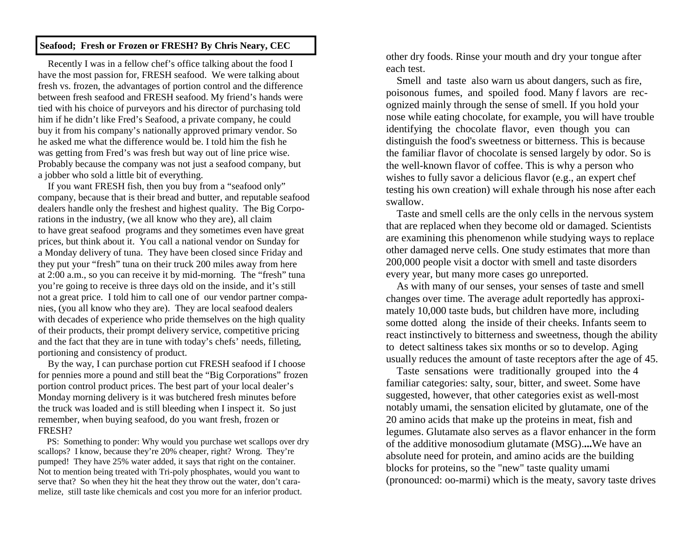#### **Seafood; Fresh or Frozen or FRESH? By Chris Neary, CEC**

 Recently I was in a fellow chef's office talking about the food I have the most passion for, FRESH seafood. We were talking about fresh vs. frozen, the advantages of portion control and the difference between fresh seafood and FRESH seafood. My friend's hands were tied with his choice of purveyors and his director of purchasing told him if he didn't like Fred's Seafood, a private company, he could buy it from his company's nationally approved primary vendor. So he asked me what the difference would be. I told him the fish he was getting from Fred's was fresh but way out of line price wise. Probably because the company was not just a seafood company, but a jobber who sold a little bit of everything.

 If you want FRESH fish, then you buy from a "seafood only" company, because that is their bread and butter, and reputable seafood dealers handle only the freshest and highest quality. The Big Corporations in the industry, (we all know who they are), all claim to have great seafood programs and they sometimes even have great prices, but think about it. You call a national vendor on Sunday for a Monday delivery of tuna. They have been closed since Friday and they put your "fresh" tuna on their truck 200 miles away from here at 2:00 a.m., so you can receive it by mid-morning. The "fresh" tuna you're going to receive is three days old on the inside, and it's still not a great price. I told him to call one of our vendor partner companies, (you all know who they are). They are local seafood dealers with decades of experience who pride themselves on the high quality of their products, their prompt delivery service, competitive pricing and the fact that they are in tune with today's chefs' needs, filleting, portioning and consistency of product.

 By the way, I can purchase portion cut FRESH seafood if I choose for pennies more a pound and still beat the "Big Corporations" frozen portion control product prices. The best part of your local dealer's Monday morning delivery is it was butchered fresh minutes before the truck was loaded and is still bleeding when I inspect it. So just remember, when buying seafood, do you want fresh, frozen or FRESH?

 PS: Something to ponder: Why would you purchase wet scallops over dry scallops? I know, because they're 20% cheaper, right? Wrong. They're pumped! They have 25% water added, it says that right on the container. Not to mention being treated with Tri-poly phosphates, would you want to serve that? So when they hit the heat they throw out the water, don't caramelize, still taste like chemicals and cost you more for an inferior product.

other dry foods. Rinse your mouth and dry your tongue after each test.

 Smell and taste also warn us about dangers, such as fire, poisonous fumes, and spoiled food. Many f lavors are recognized mainly through the sense of smell. If you hold your nose while eating chocolate, for example, you will have trouble identifying the chocolate flavor, even though you can distinguish the food's sweetness or bitterness. This is because the familiar flavor of chocolate is sensed largely by odor. So is the well-known flavor of coffee. This is why a person who wishes to fully savor a delicious flavor (e.g., an expert chef testing his own creation) will exhale through his nose after each swallow.

 Taste and smell cells are the only cells in the nervous system that are replaced when they become old or damaged. Scientists are examining this phenomenon while studying ways to replace other damaged nerve cells. One study estimates that more than 200,000 people visit a doctor with smell and taste disorders every year, but many more cases go unreported.

 As with many of our senses, your senses of taste and smell changes over time. The average adult reportedly has approximately 10,000 taste buds, but children have more, including some dotted along the inside of their cheeks. Infants seem to react instinctively to bitterness and sweetness, though the ability to detect saltiness takes six months or so to develop. Aging usually reduces the amount of taste receptors after the age of 45.

 Taste sensations were traditionally grouped into the 4 familiar categories: salty, sour, bitter, and sweet. Some have suggested, however, that other categories exist as well-most notably umami, the sensation elicited by glutamate, one of the 20 amino acids that make up the proteins in meat, fish and legumes. Glutamate also serves as a flavor enhancer in the form of the additive monosodium glutamate (MSG).**...**We have an absolute need for protein, and amino acids are the building blocks for proteins, so the "new" taste quality umami (pronounced: oo-marmi) which is the meaty, savory taste drives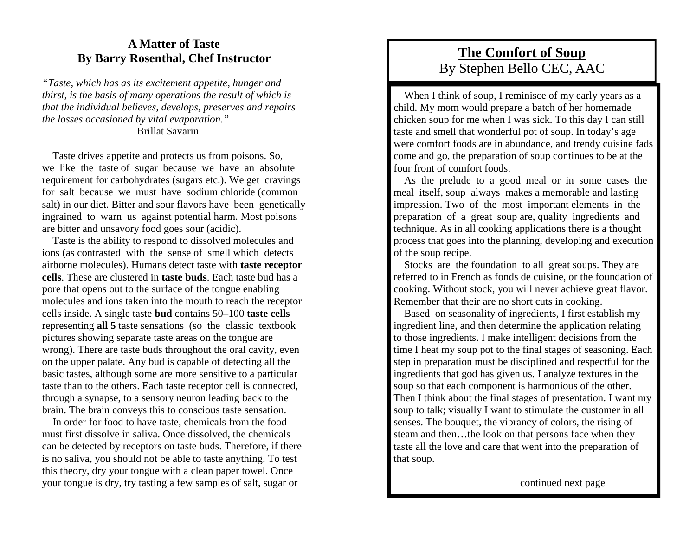#### **A Matter of Taste By Barry Rosenthal, Chef Instructor**

*"Taste, which has as its excitement appetite, hunger and thirst, is the basis of many operations the result of which is that the individual believes, develops, preserves and repairs the losses occasioned by vital evaporation."*  Brillat Savarin

 Taste drives appetite and protects us from poisons. So, we like the taste of sugar because we have an absolute requirement for carbohydrates (sugars etc.). We get cravings for salt because we must have sodium chloride (common salt) in our diet. Bitter and sour flavors have been genetically ingrained to warn us against potential harm. Most poisons are bitter and unsavory food goes sour (acidic).

 Taste is the ability to respond to dissolved molecules and ions (as contrasted with the sense of smell which detects airborne molecules). Humans detect taste with **taste receptor cells**. These are clustered in **taste buds**. Each taste bud has a pore that opens out to the surface of the tongue enabling molecules and ions taken into the mouth to reach the receptor cells inside. A single taste **bud** contains 50–100 **taste cells** representing **all 5** taste sensations (so the classic textbook pictures showing separate taste areas on the tongue are wrong). There are taste buds throughout the oral cavity, even on the upper palate. Any bud is capable of detecting all the basic tastes, although some are more sensitive to a particular taste than to the others. Each taste receptor cell is connected, through a synapse, to a sensory neuron leading back to the brain. The brain conveys this to conscious taste sensation.

 In order for food to have taste, chemicals from the food must first dissolve in saliva. Once dissolved, the chemicals can be detected by receptors on taste buds. Therefore, if there is no saliva, you should not be able to taste anything. To test this theory, dry your tongue with a clean paper towel. Once your tongue is dry, try tasting a few samples of salt, sugar or

#### **The Comfort of Soup** By Stephen Bello CEC, AAC

When I think of soup, I reminisce of my early years as a child. My mom would prepare a batch of her homemade chicken soup for me when I was sick. To this day I can still taste and smell that wonderful pot of soup. In today's age were comfort foods are in abundance, and trendy cuisine fads come and go, the preparation of soup continues to be at the four front of comfort foods.

 As the prelude to a good meal or in some cases the meal itself, soup always makes a memorable and lasting impression. Two of the most important elements in the preparation of a great soup are, quality ingredients and technique. As in all cooking applications there is a thought process that goes into the planning, developing and execution of the soup recipe.

 Stocks are the foundation to all great soups. They are referred to in French as fonds de cuisine, or the foundation of cooking. Without stock, you will never achieve great flavor. Remember that their are no short cuts in cooking.

 Based on seasonality of ingredients, I first establish my ingredient line, and then determine the application relating to those ingredients. I make intelligent decisions from the time I heat my soup pot to the final stages of seasoning. Each step in preparation must be disciplined and respectful for the ingredients that god has given us. I analyze textures in the soup so that each component is harmonious of the other. Then I think about the final stages of presentation. I want my soup to talk; visually I want to stimulate the customer in all senses. The bouquet, the vibrancy of colors, the rising of steam and then…the look on that persons face when they taste all the love and care that went into the preparation of that soup.

continued next page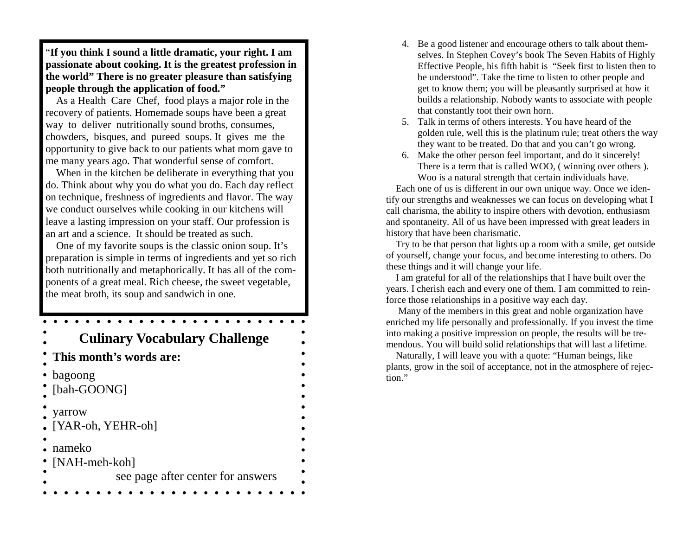"**If you think I sound a little dramatic, your right. I am passionate about cooking. It is the greatest profession in the world" There is no greater pleasure than satisfying people through the application of food."** 

 As a Health Care Chef, food plays a major role in the recovery of patients. Homemade soups have been a great way to deliver nutritionally sound broths, consumes, chowders, bisques, and pureed soups. It gives me the opportunity to give back to our patients what mom gave to me many years ago. That wonderful sense of comfort.

 When in the kitchen be deliberate in everything that you do. Think about why you do what you do. Each day reflect on technique, freshness of ingredients and flavor. The way we conduct ourselves while cooking in our kitchens will leave a lasting impression on your staff. Our profession is an art and a science. It should be treated as such.

 One of my favorite soups is the classic onion soup. It's preparation is simple in terms of ingredients and yet so rich both nutritionally and metaphorically. It has all of the components of a great meal. Rich cheese, the sweet vegetable, the meat broth, its soup and sandwich in one.

### **Culinary Vocabulary Challenge This month's words are:** bagoong [bah-GOONG] yarrow [YAR-oh, YEHR-oh] nameko [NAH-meh-koh] see page after center for answers

- 4. Be a good listener and encourage others to talk about themselves. In Stephen Covey's book The Seven Habits of Highly Effective People, his fifth habit is "Seek first to listen then to be understood". Take the time to listen to other people and get to know them; you will be pleasantly surprised at how it builds a relationship. Nobody wants to associate with people that constantly toot their own horn.
- 5. Talk in terms of others interests. You have heard of the golden rule, well this is the platinum rule; treat others the way they want to be treated. Do that and you can't go wrong.
- 6. Make the other person feel important, and do it sincerely! There is a term that is called WOO, ( winning over others ). Woo is a natural strength that certain individuals have.

 Each one of us is different in our own unique way. Once we identify our strengths and weaknesses we can focus on developing what I call charisma, the ability to inspire others with devotion, enthusiasm and spontaneity. All of us have been impressed with great leaders in history that have been charismatic.

 Try to be that person that lights up a room with a smile, get outside of yourself, change your focus, and become interesting to others. Do these things and it will change your life.

 I am grateful for all of the relationships that I have built over the years. I cherish each and every one of them. I am committed to reinforce those relationships in a positive way each day.

 Many of the members in this great and noble organization have enriched my life personally and professionally. If you invest the time into making a positive impression on people, the results will be tremendous. You will build solid relationships that will last a lifetime.

 Naturally, I will leave you with a quote: "Human beings, like plants, grow in the soil of acceptance, not in the atmosphere of rejection."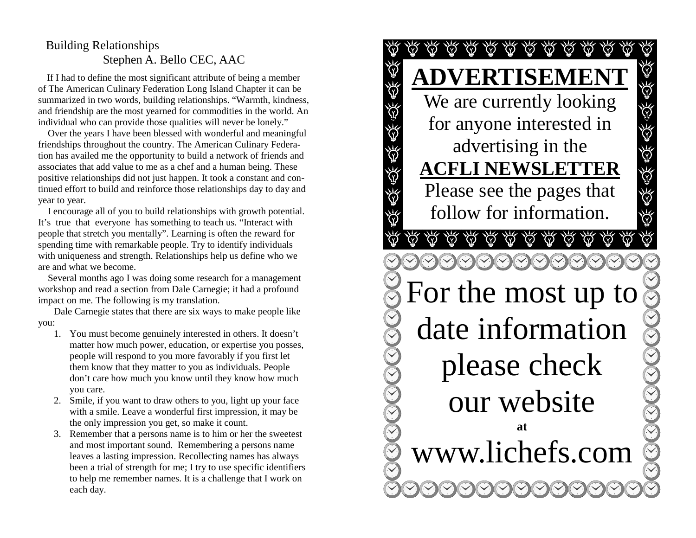#### Building Relationships Stephen A. Bello CEC, AAC

If I had to define the most significant attribute of being a member of The American Culinary Federation Long Island Chapter it can be summarized in two words, building relationships. "Warmth, kindness, and friendship are the most yearned for commodities in the world. An individual who can provide those qualities will never be lonely."

 Over the years I have been blessed with wonderful and meaningful friendships throughout the country. The American Culinary Federation has availed me the opportunity to build a network of friends and associates that add value to me as a chef and a human being. These positive relationships did not just happen. It took a constant and continued effort to build and reinforce those relationships day to day and year to year.

 I encourage all of you to build relationships with growth potential. It's true that everyone has something to teach us. "Interact with people that stretch you mentally". Learning is often the reward for spending time with remarkable people. Try to identify individuals with uniqueness and strength. Relationships help us define who we are and what we become.

 Several months ago I was doing some research for a management workshop and read a section from Dale Carnegie; it had a profound impact on me. The following is my translation.

Dale Carnegie states that there are six ways to make people like you:

- 1. You must become genuinely interested in others. It doesn't matter how much power, education, or expertise you posses, people will respond to you more favorably if you first let them know that they matter to you as individuals. People don't care how much you know until they know how much you care.
- 2. Smile, if you want to draw others to you, light up your face with a smile. Leave a wonderful first impression, it may be the only impression you get, so make it count.
- 3. Remember that a persons name is to him or her the sweetest and most important sound. Remembering a persons name leaves a lasting impression. Recollecting names has always been a trial of strength for me; I try to use specific identifiers to help me remember names. It is a challenge that I work on each day.

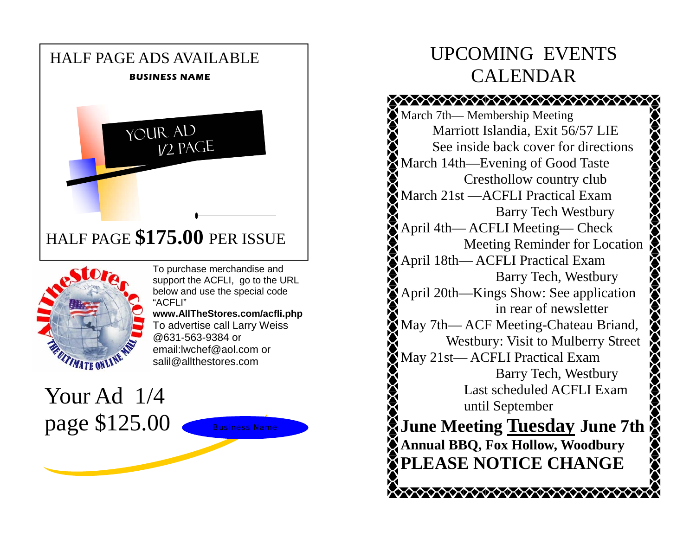



To purchase merchandise and support the ACFLI, go to the URL below and use the special code "ACFLI"

**www.AllTheStores.com/acfli.php**  To advertise call Larry Weiss @631-563-9384 or email:lwchef@aol.com or salil@allthestores.com

Your Ad 1/4 page \$125.00

# UPCOMING EVENTS CALENDAR

**CONDITIONS AND CONDITIONS OF A START OF A START OF A START OF A START OF A START OF A START OF A START OF A ST** March 7th— Membership Meeting Marriott Islandia, Exit 56/57 LIE See inside back cover for directions March 14th—Evening of Good Taste Cresthollow country club March 21st —ACFLI Practical Exam Barry Tech Westbury **ZOZOZOZOZOZ** April 4th— ACFLI Meeting— Check Meeting Reminder for Location April 18th— ACFLI Practical Exam Barry Tech, Westbury April 20th—Kings Show: See application in rear of newsletter May 7th— ACF Meeting-Chateau Briand, Westbury: Visit to Mulberry Street May 21st— ACFLI Practical Exam Barry Tech, Westbury Last scheduled ACFLI Exam until September **June Meeting Tuesday June 7th Annual BBQ, Fox Hollow, Woodbury PLEASE NOTICE CHANGE**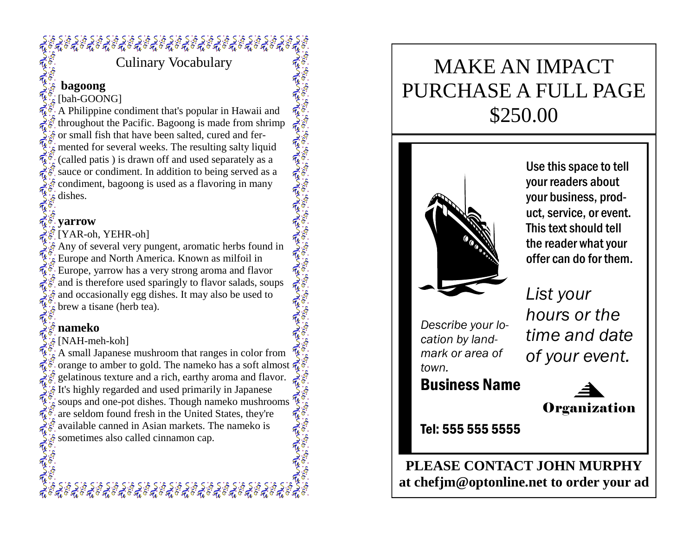# 

Culinary Vocabulary

### **bagoong**

A Philippine condiment that's popular in Hawaii and throughout the Pacific. Bagoong is made from shrimp for small fish that have been salted, cured and fermented for several weeks. The resulting salty liquid (called patis ) is drawn off and used separately as a sauce or condiment. In addition to being served as a condiment, bagoong is used as a flavoring in many

#### **yarrow**

[YAR-oh, YEHR-oh]

Any of several very pungent, aromatic herbs found in Europe and North America. Known as milfoil in Europe, yarrow has a very strong aroma and flavor and is therefore used sparingly to flavor salads, soups and occasionally egg dishes. It may also be used to brew a tisane (herb tea).

#### **nameko**

#### $\delta$  [NAH-meh-koh]

A small Japanese mushroom that ranges in color from orange to amber to gold. The nameko has a soft almost gelatinous texture and a rich, earthy aroma and flavor.  $\delta$  It's highly regarded and used primarily in Japanese soups and one-pot dishes. Though nameko mushrooms are seldom found fresh in the United States, they're available canned in Asian markets. The nameko is available canned in Asian markets. The name ko is  $\hat{\pi}^8$ .<br>
Signetimes also called cinnamon cap.<br>  $\hat{\xi}$ .

૬ S : ૬ S : ૬ S : ૬ S : ૬ S : ૬ S : ૬ S : ૬ S : ૬ S : ૬ S : ૬ S : ૬ S : ૬ S : ૬ S :<br>' નૈં 6 નૈં 6 નૈં 6 નૈં 6 નૈં 6 નૈં 6 નૈં 6 નૈં 6 નૈં 6 નૈં 6 નૈં 6 નૈં 6 નૈં 6 નૈં 6 નૈં 6

# MAKE AN IMPACT PURCHASE A FULL PAGE \$250.00



Use this space to tell your readers about your business, product, service, or event. This text should tell the reader what your offer can do for them.

*Describe your location by landmark or area of town.* 

Business Name

*List your hours or the time and date of your event.* 

**Organization** 

**PLEASE CONTACT JOHN MURPHY at chefjm@optonline.net to order your ad**